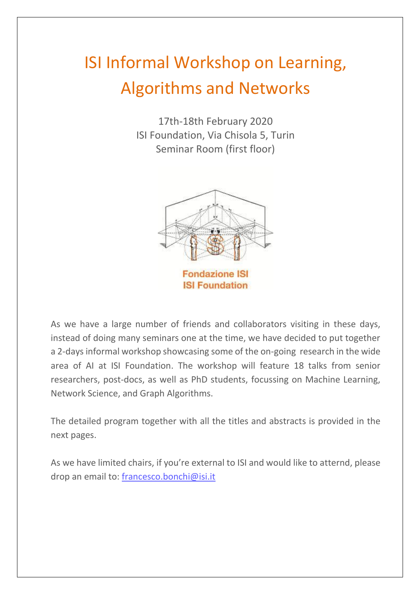# ISI Informal Workshop on Learning, Algorithms and Networks

17th-18th February 2020 ISI Foundation, Via Chisola 5, Turin Seminar Room (first floor)



As we have a large number of friends and collaborators visiting in these days, instead of doing many seminars one at the time, we have decided to put together a 2-days informal workshop showcasing some of the on-going research in the wide area of AI at ISI Foundation. The workshop will feature 18 talks from senior researchers, post-docs, as well as PhD students, focussing on Machine Learning, Network Science, and Graph Algorithms.

The detailed program together with all the titles and abstracts is provided in the next pages.

As we have limited chairs, if you're external to ISI and would like to atternd, please drop an email to: [francesco.bonchi@isi.it](mailto:francesco.bonchi@isi.it)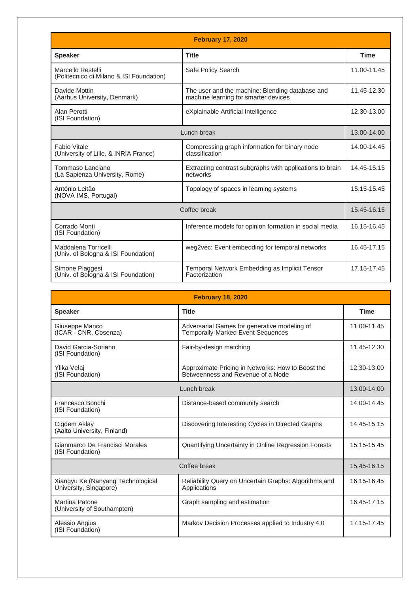| <b>February 17, 2020</b>                                      |                                                                                         |             |  |
|---------------------------------------------------------------|-----------------------------------------------------------------------------------------|-------------|--|
| <b>Speaker</b>                                                | <b>Title</b>                                                                            | <b>Time</b> |  |
| Marcello Restelli<br>(Politecnico di Milano & ISI Foundation) | Safe Policy Search                                                                      | 11.00-11.45 |  |
| Davide Mottin<br>(Aarhus University, Denmark)                 | The user and the machine: Blending database and<br>machine learning for smarter devices | 11.45-12.30 |  |
| Alan Perotti<br>(ISI Foundation)                              | eXplainable Artificial Intelligence                                                     | 12.30-13.00 |  |
| Lunch break                                                   |                                                                                         | 13.00-14.00 |  |
| Fabio Vitale<br>(University of Lille, & INRIA France)         | Compressing graph information for binary node<br>classification                         | 14.00-14.45 |  |
| Tommaso Lanciano<br>(La Sapienza University, Rome)            | Extracting contrast subgraphs with applications to brain<br>networks                    | 14.45-15.15 |  |
| António Leitão<br>(NOVA IMS, Portugal)                        | Topology of spaces in learning systems                                                  | 15.15-15.45 |  |
| Coffee break                                                  |                                                                                         | 15.45-16.15 |  |
| Corrado Monti<br>(ISI Foundation)                             | Inference models for opinion formation in social media                                  | 16.15-16.45 |  |
| Maddalena Torricelli<br>(Univ. of Bologna & ISI Foundation)   | weg2vec: Event embedding for temporal networks                                          | 16.45-17.15 |  |
| Simone Piaggesi<br>(Univ. of Bologna & ISI Foundation)        | Temporal Network Embedding as Implicit Tensor<br>Factorization                          | 17.15-17.45 |  |

| <b>February 18, 2020</b>                                    |                                                                                          |             |  |
|-------------------------------------------------------------|------------------------------------------------------------------------------------------|-------------|--|
| <b>Speaker</b>                                              | <b>Title</b>                                                                             | <b>Time</b> |  |
| Giuseppe Manco<br>(ICAR - CNR, Cosenza)                     | Adversarial Games for generative modeling of<br><b>Temporally-Marked Event Sequences</b> | 11.00-11.45 |  |
| David Garcia-Soriano<br>(ISI Foundation)                    | Fair-by-design matching                                                                  | 11.45-12.30 |  |
| Yllka Velaj<br>(ISI Foundation)                             | Approximate Pricing in Networks: How to Boost the<br>Betweenness and Revenue of a Node   | 12.30-13.00 |  |
| Lunch break                                                 |                                                                                          | 13.00-14.00 |  |
| Francesco Bonchi<br>(ISI Foundation)                        | Distance-based community search                                                          | 14.00-14.45 |  |
| Cigdem Aslay<br>(Aalto University, Finland)                 | Discovering Interesting Cycles in Directed Graphs                                        | 14.45-15.15 |  |
| Gianmarco De Francisci Morales<br>(ISI Foundation)          | Quantifying Uncertainty in Online Regression Forests                                     | 15:15-15:45 |  |
| Coffee break                                                |                                                                                          | 15.45-16.15 |  |
| Xiangyu Ke (Nanyang Technological<br>University, Singapore) | Reliability Query on Uncertain Graphs: Algorithms and<br>Applications                    | 16.15-16.45 |  |
| Martina Patone<br>(University of Southampton)               | Graph sampling and estimation                                                            | 16.45-17.15 |  |
| Alessio Angius<br>(ISI Foundation)                          | Markov Decision Processes applied to Industry 4.0                                        | 17.15-17.45 |  |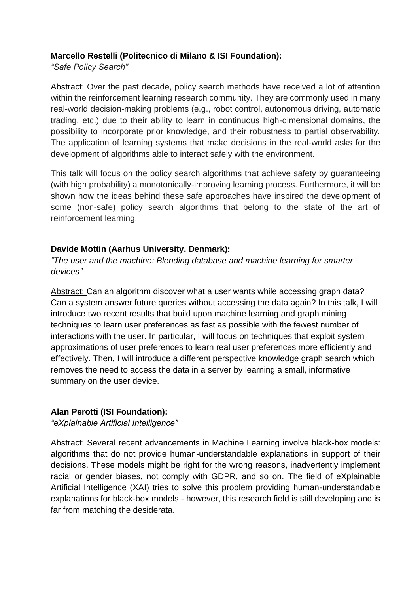#### **Marcello Restelli (Politecnico di Milano & ISI Foundation):**

*"Safe Policy Search"*

Abstract: Over the past decade, policy search methods have received a lot of attention within the reinforcement learning research community. They are commonly used in many real-world decision-making problems (e.g., robot control, autonomous driving, automatic trading, etc.) due to their ability to learn in continuous high-dimensional domains, the possibility to incorporate prior knowledge, and their robustness to partial observability. The application of learning systems that make decisions in the real-world asks for the development of algorithms able to interact safely with the environment.

This talk will focus on the policy search algorithms that achieve safety by guaranteeing (with high probability) a monotonically-improving learning process. Furthermore, it will be shown how the ideas behind these safe approaches have inspired the development of some (non-safe) policy search algorithms that belong to the state of the art of reinforcement learning.

# **Davide Mottin (Aarhus University, Denmark):**

*"The user and the machine: Blending database and machine learning for smarter devices"*

Abstract: Can an algorithm discover what a user wants while accessing graph data? Can a system answer future queries without accessing the data again? In this talk, I will introduce two recent results that build upon machine learning and graph mining techniques to learn user preferences as fast as possible with the fewest number of interactions with the user. In particular, I will focus on techniques that exploit system approximations of user preferences to learn real user preferences more efficiently and effectively. Then, I will introduce a different perspective knowledge graph search which removes the need to access the data in a server by learning a small, informative summary on the user device.

# **Alan Perotti (ISI Foundation):**

*"eXplainable Artificial Intelligence"*

Abstract: Several recent advancements in Machine Learning involve black-box models: algorithms that do not provide human-understandable explanations in support of their decisions. These models might be right for the wrong reasons, inadvertently implement racial or gender biases, not comply with GDPR, and so on. The field of eXplainable Artificial Intelligence (XAI) tries to solve this problem providing human-understandable explanations for black-box models - however, this research field is still developing and is far from matching the desiderata.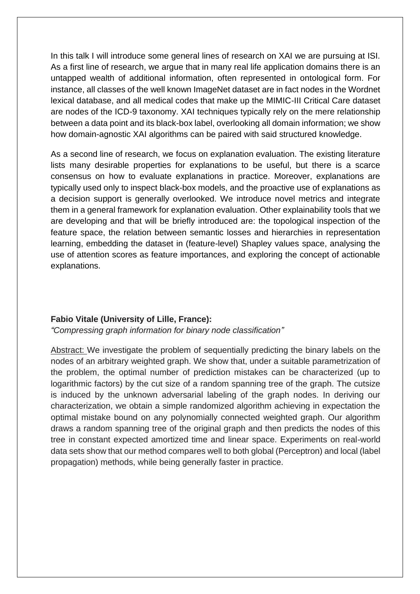In this talk I will introduce some general lines of research on XAI we are pursuing at ISI. As a first line of research, we argue that in many real life application domains there is an untapped wealth of additional information, often represented in ontological form. For instance, all classes of the well known ImageNet dataset are in fact nodes in the Wordnet lexical database, and all medical codes that make up the MIMIC-III Critical Care dataset are nodes of the ICD-9 taxonomy. XAI techniques typically rely on the mere relationship between a data point and its black-box label, overlooking all domain information; we show how domain-agnostic XAI algorithms can be paired with said structured knowledge.

As a second line of research, we focus on explanation evaluation. The existing literature lists many desirable properties for explanations to be useful, but there is a scarce consensus on how to evaluate explanations in practice. Moreover, explanations are typically used only to inspect black-box models, and the proactive use of explanations as a decision support is generally overlooked. We introduce novel metrics and integrate them in a general framework for explanation evaluation. Other explainability tools that we are developing and that will be briefly introduced are: the topological inspection of the feature space, the relation between semantic losses and hierarchies in representation learning, embedding the dataset in (feature-level) Shapley values space, analysing the use of attention scores as feature importances, and exploring the concept of actionable explanations.

## **Fabio Vitale (University of Lille, France):**

*"Compressing graph information for binary node classification"*

Abstract: We investigate the problem of sequentially predicting the binary labels on the nodes of an arbitrary weighted graph. We show that, under a suitable parametrization of the problem, the optimal number of prediction mistakes can be characterized (up to logarithmic factors) by the cut size of a random spanning tree of the graph. The cutsize is induced by the unknown adversarial labeling of the graph nodes. In deriving our characterization, we obtain a simple randomized algorithm achieving in expectation the optimal mistake bound on any polynomially connected weighted graph. Our algorithm draws a random spanning tree of the original graph and then predicts the nodes of this tree in constant expected amortized time and linear space. Experiments on real-world data sets show that our method compares well to both global (Perceptron) and local (label propagation) methods, while being generally faster in practice.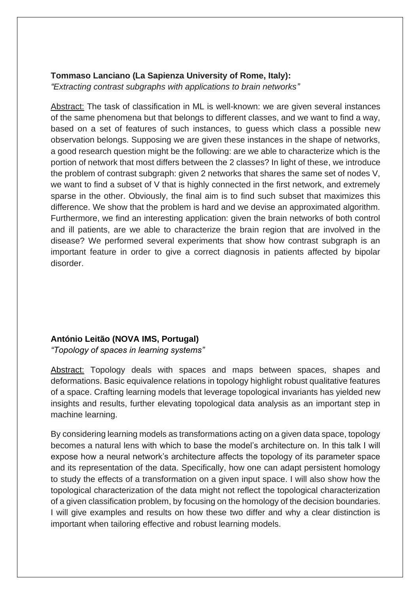#### **Tommaso Lanciano (La Sapienza University of Rome, Italy):**

*"Extracting contrast subgraphs with applications to brain networks"*

Abstract: The task of classification in ML is well-known: we are given several instances of the same phenomena but that belongs to different classes, and we want to find a way, based on a set of features of such instances, to guess which class a possible new observation belongs. Supposing we are given these instances in the shape of networks, a good research question might be the following: are we able to characterize which is the portion of network that most differs between the 2 classes? In light of these, we introduce the problem of contrast subgraph: given 2 networks that shares the same set of nodes V, we want to find a subset of V that is highly connected in the first network, and extremely sparse in the other. Obviously, the final aim is to find such subset that maximizes this difference. We show that the problem is hard and we devise an approximated algorithm. Furthermore, we find an interesting application: given the brain networks of both control and ill patients, are we able to characterize the brain region that are involved in the disease? We performed several experiments that show how contrast subgraph is an important feature in order to give a correct diagnosis in patients affected by bipolar disorder.

## **António Leitão (NOVA IMS, Portugal)**

*"Topology of spaces in learning systems"*

Abstract: Topology deals with spaces and maps between spaces, shapes and deformations. Basic equivalence relations in topology highlight robust qualitative features of a space. Crafting learning models that leverage topological invariants has yielded new insights and results, further elevating topological data analysis as an important step in machine learning.

By considering learning models as transformations acting on a given data space, topology becomes a natural lens with which to base the model's architecture on. In this talk I will expose how a neural network's architecture affects the topology of its parameter space and its representation of the data. Specifically, how one can adapt persistent homology to study the effects of a transformation on a given input space. I will also show how the topological characterization of the data might not reflect the topological characterization of a given classification problem, by focusing on the homology of the decision boundaries. I will give examples and results on how these two differ and why a clear distinction is important when tailoring effective and robust learning models.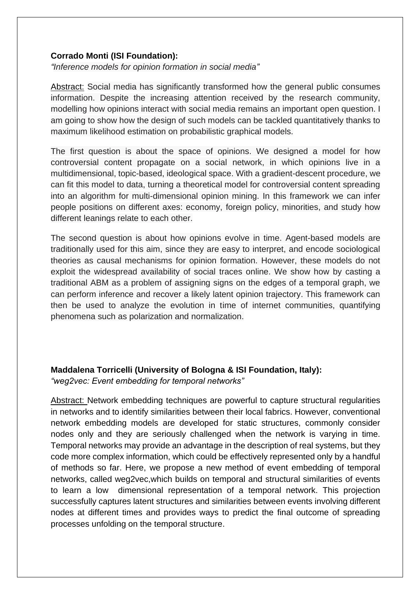#### **Corrado Monti (ISI Foundation):**

*"Inference models for opinion formation in social media"*

Abstract: Social media has significantly transformed how the general public consumes information. Despite the increasing attention received by the research community, modelling how opinions interact with social media remains an important open question. I am going to show how the design of such models can be tackled quantitatively thanks to maximum likelihood estimation on probabilistic graphical models.

The first question is about the space of opinions. We designed a model for how controversial content propagate on a social network, in which opinions live in a multidimensional, topic-based, ideological space. With a gradient-descent procedure, we can fit this model to data, turning a theoretical model for controversial content spreading into an algorithm for multi-dimensional opinion mining. In this framework we can infer people positions on different axes: economy, foreign policy, minorities, and study how different leanings relate to each other.

The second question is about how opinions evolve in time. Agent-based models are traditionally used for this aim, since they are easy to interpret, and encode sociological theories as causal mechanisms for opinion formation. However, these models do not exploit the widespread availability of social traces online. We show how by casting a traditional ABM as a problem of assigning signs on the edges of a temporal graph, we can perform inference and recover a likely latent opinion trajectory. This framework can then be used to analyze the evolution in time of internet communities, quantifying phenomena such as polarization and normalization.

#### **Maddalena Torricelli (University of Bologna & ISI Foundation, Italy):**

*"weg2vec: Event embedding for temporal networks"*

Abstract: Network embedding techniques are powerful to capture structural regularities in networks and to identify similarities between their local fabrics. However, conventional network embedding models are developed for static structures, commonly consider nodes only and they are seriously challenged when the network is varying in time. Temporal networks may provide an advantage in the description of real systems, but they code more complex information, which could be effectively represented only by a handful of methods so far. Here, we propose a new method of event embedding of temporal networks, called weg2vec,which builds on temporal and structural similarities of events to learn a low dimensional representation of a temporal network. This projection successfully captures latent structures and similarities between events involving different nodes at different times and provides ways to predict the final outcome of spreading processes unfolding on the temporal structure.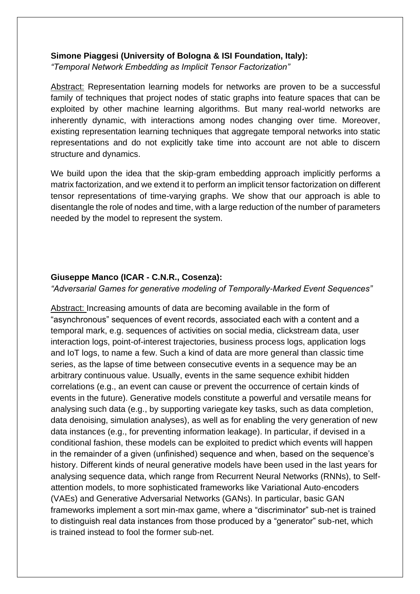#### **Simone Piaggesi (University of Bologna & ISI Foundation, Italy):**

*"Temporal Network Embedding as Implicit Tensor Factorization"*

Abstract: Representation learning models for networks are proven to be a successful family of techniques that project nodes of static graphs into feature spaces that can be exploited by other machine learning algorithms. But many real-world networks are inherently dynamic, with interactions among nodes changing over time. Moreover, existing representation learning techniques that aggregate temporal networks into static representations and do not explicitly take time into account are not able to discern structure and dynamics.

We build upon the idea that the skip-gram embedding approach implicitly performs a matrix factorization, and we extend it to perform an implicit tensor factorization on different tensor representations of time-varying graphs. We show that our approach is able to disentangle the role of nodes and time, with a large reduction of the number of parameters needed by the model to represent the system.

#### **Giuseppe Manco (ICAR - C.N.R., Cosenza):**

*"Adversarial Games for generative modeling of Temporally-Marked Event Sequences"*

Abstract: Increasing amounts of data are becoming available in the form of "asynchronous" sequences of event records, associated each with a content and a temporal mark, e.g. sequences of activities on social media, clickstream data, user interaction logs, point-of-interest trajectories, business process logs, application logs and IoT logs, to name a few. Such a kind of data are more general than classic time series, as the lapse of time between consecutive events in a sequence may be an arbitrary continuous value. Usually, events in the same sequence exhibit hidden correlations (e.g., an event can cause or prevent the occurrence of certain kinds of events in the future). Generative models constitute a powerful and versatile means for analysing such data (e.g., by supporting variegate key tasks, such as data completion, data denoising, simulation analyses), as well as for enabling the very generation of new data instances (e.g., for preventing information leakage). In particular, if devised in a conditional fashion, these models can be exploited to predict which events will happen in the remainder of a given (unfinished) sequence and when, based on the sequence's history. Different kinds of neural generative models have been used in the last years for analysing sequence data, which range from Recurrent Neural Networks (RNNs), to Selfattention models, to more sophisticated frameworks like Variational Auto-encoders (VAEs) and Generative Adversarial Networks (GANs). In particular, basic GAN frameworks implement a sort min-max game, where a "discriminator" sub-net is trained to distinguish real data instances from those produced by a "generator" sub-net, which is trained instead to fool the former sub-net.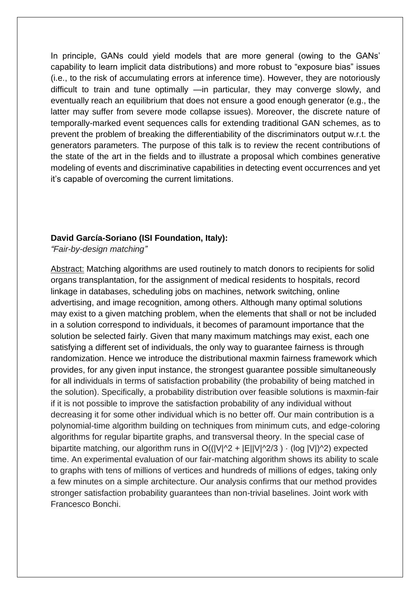In principle, GANs could yield models that are more general (owing to the GANs' capability to learn implicit data distributions) and more robust to "exposure bias" issues (i.e., to the risk of accumulating errors at inference time). However, they are notoriously difficult to train and tune optimally —in particular, they may converge slowly, and eventually reach an equilibrium that does not ensure a good enough generator (e.g., the latter may suffer from severe mode collapse issues). Moreover, the discrete nature of temporally-marked event sequences calls for extending traditional GAN schemes, as to prevent the problem of breaking the differentiability of the discriminators output w.r.t. the generators parameters. The purpose of this talk is to review the recent contributions of the state of the art in the fields and to illustrate a proposal which combines generative modeling of events and discriminative capabilities in detecting event occurrences and yet it's capable of overcoming the current limitations.

#### **David García-Soriano (ISI Foundation, Italy):**

*"Fair-by-design matching"*

Abstract: Matching algorithms are used routinely to match donors to recipients for solid organs transplantation, for the assignment of medical residents to hospitals, record linkage in databases, scheduling jobs on machines, network switching, online advertising, and image recognition, among others. Although many optimal solutions may exist to a given matching problem, when the elements that shall or not be included in a solution correspond to individuals, it becomes of paramount importance that the solution be selected fairly. Given that many maximum matchings may exist, each one satisfying a different set of individuals, the only way to guarantee fairness is through randomization. Hence we introduce the distributional maxmin fairness framework which provides, for any given input instance, the strongest guarantee possible simultaneously for all individuals in terms of satisfaction probability (the probability of being matched in the solution). Specifically, a probability distribution over feasible solutions is maxmin-fair if it is not possible to improve the satisfaction probability of any individual without decreasing it for some other individual which is no better off. Our main contribution is a polynomial-time algorithm building on techniques from minimum cuts, and edge-coloring algorithms for regular bipartite graphs, and transversal theory. In the special case of bipartite matching, our algorithm runs in  $O((|V|^2 + |E||V|^2/3) \cdot (log |V|)^2)$  expected time. An experimental evaluation of our fair-matching algorithm shows its ability to scale to graphs with tens of millions of vertices and hundreds of millions of edges, taking only a few minutes on a simple architecture. Our analysis confirms that our method provides stronger satisfaction probability guarantees than non-trivial baselines. Joint work with Francesco Bonchi.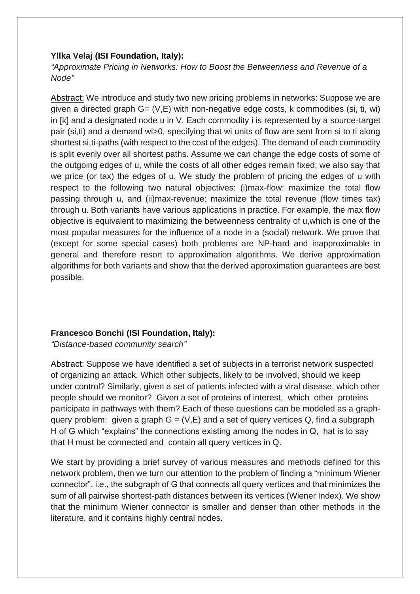#### **Yllka Velaj (ISI Foundation, Italy):**

*"Approximate Pricing in Networks: How to Boost the Betweenness and Revenue of a Node"*

Abstract: We introduce and study two new pricing problems in networks: Suppose we are given a directed graph  $G = (V, E)$  with non-negative edge costs, k commodities (si, ti, wi) in [k] and a designated node u in V. Each commodity i is represented by a source-target pair (si,ti) and a demand wi>0, specifying that wi units of flow are sent from si to ti along shortest si,ti-paths (with respect to the cost of the edges). The demand of each commodity is split evenly over all shortest paths. Assume we can change the edge costs of some of the outgoing edges of u, while the costs of all other edges remain fixed; we also say that we price (or tax) the edges of u. We study the problem of pricing the edges of u with respect to the following two natural objectives: (i)max-flow: maximize the total flow passing through u, and (ii)max-revenue: maximize the total revenue (flow times tax) through u. Both variants have various applications in practice. For example, the max flow objective is equivalent to maximizing the betweenness centrality of u,which is one of the most popular measures for the influence of a node in a (social) network. We prove that (except for some special cases) both problems are NP-hard and inapproximable in general and therefore resort to approximation algorithms. We derive approximation algorithms for both variants and show that the derived approximation guarantees are best possible.

## **Francesco Bonchi (ISI Foundation, Italy):**

*"Distance-based community search"*

Abstract: Suppose we have identified a set of subjects in a terrorist network suspected of organizing an attack. Which other subjects, likely to be involved, should we keep under control? Similarly, given a set of patients infected with a viral disease, which other people should we monitor? Given a set of proteins of interest, which other proteins participate in pathways with them? Each of these questions can be modeled as a graphquery problem: given a graph  $G = (V,E)$  and a set of query vertices Q, find a subgraph H of G which "explains" the connections existing among the nodes in Q, hat is to say that H must be connected and contain all query vertices in Q.

We start by providing a brief survey of various measures and methods defined for this network problem, then we turn our attention to the problem of finding a "minimum Wiener connector", i.e., the subgraph of G that connects all query vertices and that minimizes the sum of all pairwise shortest-path distances between its vertices (Wiener Index). We show that the minimum Wiener connector is smaller and denser than other methods in the literature, and it contains highly central nodes.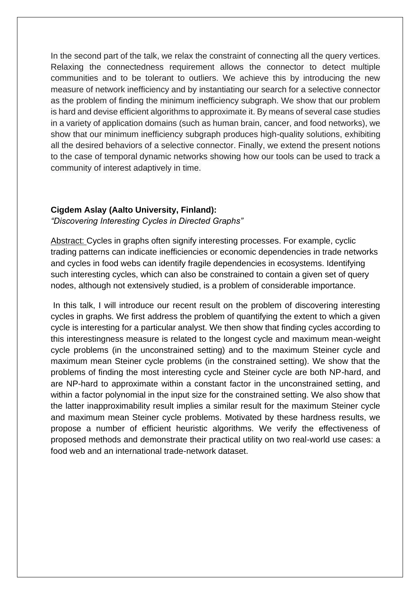In the second part of the talk, we relax the constraint of connecting all the query vertices. Relaxing the connectedness requirement allows the connector to detect multiple communities and to be tolerant to outliers. We achieve this by introducing the new measure of network inefficiency and by instantiating our search for a selective connector as the problem of finding the minimum inefficiency subgraph. We show that our problem is hard and devise efficient algorithms to approximate it. By means of several case studies in a variety of application domains (such as human brain, cancer, and food networks), we show that our minimum inefficiency subgraph produces high-quality solutions, exhibiting all the desired behaviors of a selective connector. Finally, we extend the present notions to the case of temporal dynamic networks showing how our tools can be used to track a community of interest adaptively in time.

#### **Cigdem Aslay (Aalto University, Finland):**

*"Discovering Interesting Cycles in Directed Graphs"*

Abstract: Cycles in graphs often signify interesting processes. For example, cyclic trading patterns can indicate inefficiencies or economic dependencies in trade networks and cycles in food webs can identify fragile dependencies in ecosystems. Identifying such interesting cycles, which can also be constrained to contain a given set of query nodes, although not extensively studied, is a problem of considerable importance.

In this talk, I will introduce our recent result on the problem of discovering interesting cycles in graphs. We first address the problem of quantifying the extent to which a given cycle is interesting for a particular analyst. We then show that finding cycles according to this interestingness measure is related to the longest cycle and maximum mean-weight cycle problems (in the unconstrained setting) and to the maximum Steiner cycle and maximum mean Steiner cycle problems (in the constrained setting). We show that the problems of finding the most interesting cycle and Steiner cycle are both NP-hard, and are NP-hard to approximate within a constant factor in the unconstrained setting, and within a factor polynomial in the input size for the constrained setting. We also show that the latter inapproximability result implies a similar result for the maximum Steiner cycle and maximum mean Steiner cycle problems. Motivated by these hardness results, we propose a number of efficient heuristic algorithms. We verify the effectiveness of proposed methods and demonstrate their practical utility on two real-world use cases: a food web and an international trade-network dataset.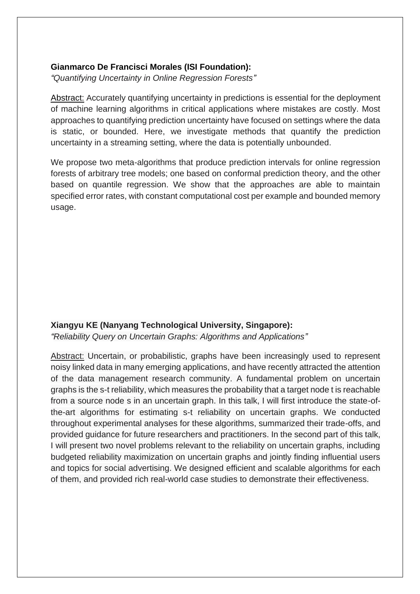#### **Gianmarco De Francisci Morales (ISI Foundation):**

*"Quantifying Uncertainty in Online Regression Forests"*

Abstract: Accurately quantifying uncertainty in predictions is essential for the deployment of machine learning algorithms in critical applications where mistakes are costly. Most approaches to quantifying prediction uncertainty have focused on settings where the data is static, or bounded. Here, we investigate methods that quantify the prediction uncertainty in a streaming setting, where the data is potentially unbounded.

We propose two meta-algorithms that produce prediction intervals for online regression forests of arbitrary tree models; one based on conformal prediction theory, and the other based on quantile regression. We show that the approaches are able to maintain specified error rates, with constant computational cost per example and bounded memory usage.

## **Xiangyu KE (Nanyang Technological University, Singapore):**

*"Reliability Query on Uncertain Graphs: Algorithms and Applications"*

Abstract: Uncertain, or probabilistic, graphs have been increasingly used to represent noisy linked data in many emerging applications, and have recently attracted the attention of the data management research community. A fundamental problem on uncertain graphs is the s-t reliability, which measures the probability that a target node t is reachable from a source node s in an uncertain graph. In this talk, I will first introduce the state-ofthe-art algorithms for estimating s-t reliability on uncertain graphs. We conducted throughout experimental analyses for these algorithms, summarized their trade-offs, and provided guidance for future researchers and practitioners. In the second part of this talk, I will present two novel problems relevant to the reliability on uncertain graphs, including budgeted reliability maximization on uncertain graphs and jointly finding influential users and topics for social advertising. We designed efficient and scalable algorithms for each of them, and provided rich real-world case studies to demonstrate their effectiveness.